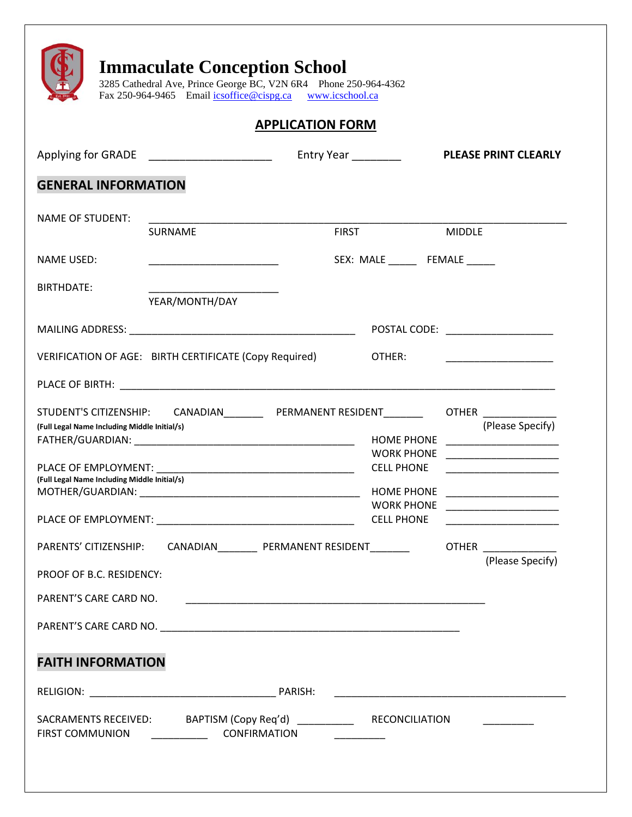|                                                                                                                  |                                                                                                                        | <b>APPLICATION FORM</b> |                                                                                                       |               |                                                                                                                                                                                                                                                                                                                                                                                                                                                                                                                               |
|------------------------------------------------------------------------------------------------------------------|------------------------------------------------------------------------------------------------------------------------|-------------------------|-------------------------------------------------------------------------------------------------------|---------------|-------------------------------------------------------------------------------------------------------------------------------------------------------------------------------------------------------------------------------------------------------------------------------------------------------------------------------------------------------------------------------------------------------------------------------------------------------------------------------------------------------------------------------|
|                                                                                                                  | Applying for GRADE _______________________                                                                             | Entry Year ________     |                                                                                                       |               | <b>PLEASE PRINT CLEARLY</b>                                                                                                                                                                                                                                                                                                                                                                                                                                                                                                   |
| <b>GENERAL INFORMATION</b>                                                                                       |                                                                                                                        |                         |                                                                                                       |               |                                                                                                                                                                                                                                                                                                                                                                                                                                                                                                                               |
| <b>NAME OF STUDENT:</b>                                                                                          |                                                                                                                        |                         |                                                                                                       |               |                                                                                                                                                                                                                                                                                                                                                                                                                                                                                                                               |
|                                                                                                                  | <b>SURNAME</b>                                                                                                         | <b>FIRST</b>            |                                                                                                       | <b>MIDDLE</b> |                                                                                                                                                                                                                                                                                                                                                                                                                                                                                                                               |
| <b>NAME USED:</b>                                                                                                | <u> 1990 - Johann John Harry Harry Harry Harry Harry Harry Harry Harry Harry Harry Harry Harry Harry Harry Harry H</u> |                         | SEX: MALE _______ FEMALE ______                                                                       |               |                                                                                                                                                                                                                                                                                                                                                                                                                                                                                                                               |
| BIRTHDATE:                                                                                                       | YEAR/MONTH/DAY                                                                                                         |                         |                                                                                                       |               |                                                                                                                                                                                                                                                                                                                                                                                                                                                                                                                               |
|                                                                                                                  |                                                                                                                        |                         | POSTAL CODE: _____________________                                                                    |               |                                                                                                                                                                                                                                                                                                                                                                                                                                                                                                                               |
|                                                                                                                  | VERIFICATION OF AGE: BIRTH CERTIFICATE (Copy Required)                                                                 |                         | OTHER:                                                                                                |               |                                                                                                                                                                                                                                                                                                                                                                                                                                                                                                                               |
|                                                                                                                  |                                                                                                                        |                         |                                                                                                       |               |                                                                                                                                                                                                                                                                                                                                                                                                                                                                                                                               |
|                                                                                                                  |                                                                                                                        |                         |                                                                                                       |               |                                                                                                                                                                                                                                                                                                                                                                                                                                                                                                                               |
| (Full Legal Name Including Middle Initial/s)<br>(Full Legal Name Including Middle Initial/s)<br>MOTHER/GUARDIAN: | STUDENT'S CITIZENSHIP: CANADIAN__________ PERMANENT RESIDENT________                                                   |                         | <b>HOME PHONE</b><br><b>WORK PHONE</b><br><b>CELL PHONE</b><br><b>HOME PHONE</b><br><b>CELL PHONE</b> |               | OTHER <b>Andrew Property</b><br>(Please Specify)                                                                                                                                                                                                                                                                                                                                                                                                                                                                              |
|                                                                                                                  | PARENTS' CITIZENSHIP: CANADIAN__________ PERMANENT RESIDENT_________ OTHER ____________                                |                         |                                                                                                       |               | <u> 1989 - Johann John Harry Harry Harry Harry Harry Harry Harry Harry Harry Harry Harry Harry Harry Harry Harry Harry Harry Harry Harry Harry Harry Harry Harry Harry Harry Harry Harry Harry Harry Harry Harry Harry Harry Har</u><br><u> 1999 - Johann John Harry Harry Harry Harry Harry Harry Harry Harry Harry Harry Harry Harry Harry Harry Harry</u><br>WORK PHONE ________________________<br><u> 1990 - Johann John Harry Harry Harry Harry Harry Harry Harry Harry Harry Harry Harry Harry Harry Harry Harry H</u> |
| PROOF OF B.C. RESIDENCY:                                                                                         |                                                                                                                        |                         |                                                                                                       |               |                                                                                                                                                                                                                                                                                                                                                                                                                                                                                                                               |
|                                                                                                                  |                                                                                                                        |                         |                                                                                                       |               |                                                                                                                                                                                                                                                                                                                                                                                                                                                                                                                               |
| PARENT'S CARE CARD NO.                                                                                           |                                                                                                                        |                         |                                                                                                       |               |                                                                                                                                                                                                                                                                                                                                                                                                                                                                                                                               |
| <b>FAITH INFORMATION</b>                                                                                         |                                                                                                                        |                         |                                                                                                       |               | (Please Specify)                                                                                                                                                                                                                                                                                                                                                                                                                                                                                                              |
|                                                                                                                  |                                                                                                                        |                         |                                                                                                       |               |                                                                                                                                                                                                                                                                                                                                                                                                                                                                                                                               |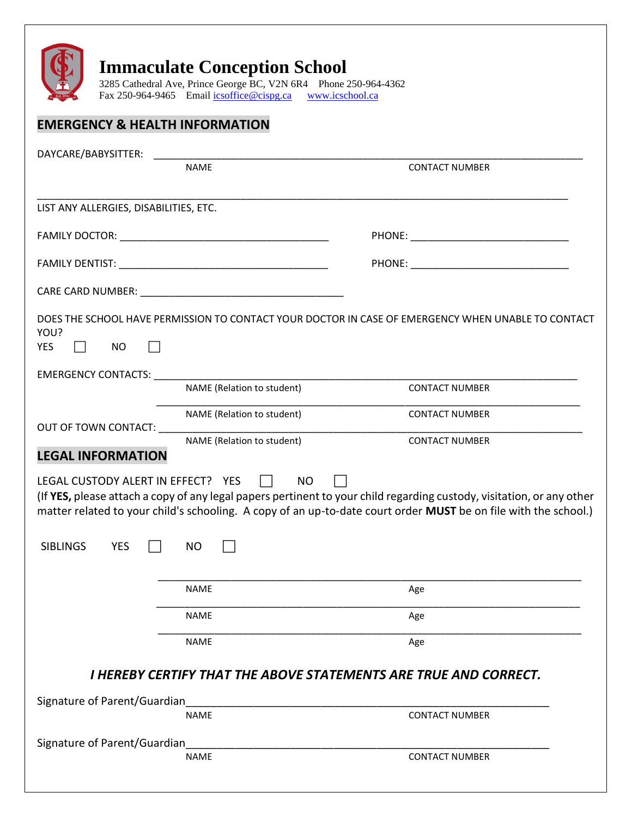

3285 Cathedral Ave, Prince George BC, V2N 6R4 Phone 250-964-4362 Fax 250-964-9465 Email <u>icsoffice@cispg.ca [www.icschool.ca](http://www.icschool.ca/)</u>

## **EMERGENCY & HEALTH INFORMATION**

| DAYCARE/BABYSITTER:                                                                                                                                                                                                            |                                                                                                                                              |                                                                                                                                                                                                                                          |
|--------------------------------------------------------------------------------------------------------------------------------------------------------------------------------------------------------------------------------|----------------------------------------------------------------------------------------------------------------------------------------------|------------------------------------------------------------------------------------------------------------------------------------------------------------------------------------------------------------------------------------------|
|                                                                                                                                                                                                                                | <b>NAME</b>                                                                                                                                  | <b>CONTACT NUMBER</b>                                                                                                                                                                                                                    |
| LIST ANY ALLERGIES, DISABILITIES, ETC.                                                                                                                                                                                         |                                                                                                                                              |                                                                                                                                                                                                                                          |
|                                                                                                                                                                                                                                |                                                                                                                                              |                                                                                                                                                                                                                                          |
|                                                                                                                                                                                                                                |                                                                                                                                              |                                                                                                                                                                                                                                          |
|                                                                                                                                                                                                                                |                                                                                                                                              |                                                                                                                                                                                                                                          |
| YOU?<br><b>YES</b><br>NO.                                                                                                                                                                                                      |                                                                                                                                              | DOES THE SCHOOL HAVE PERMISSION TO CONTACT YOUR DOCTOR IN CASE OF EMERGENCY WHEN UNABLE TO CONTACT                                                                                                                                       |
| EMERGENCY CONTACTS: Network and the state of the state of the state of the state of the state of the state of the state of the state of the state of the state of the state of the state of the state of the state of the stat | NAME (Relation to student)                                                                                                                   | <b>CONTACT NUMBER</b>                                                                                                                                                                                                                    |
|                                                                                                                                                                                                                                | NAME (Relation to student)                                                                                                                   | <b>CONTACT NUMBER</b>                                                                                                                                                                                                                    |
| <b>LEGAL INFORMATION</b>                                                                                                                                                                                                       | OUT OF TOWN CONTACT: THE STATE OF THE STATE OF THE STATE OF THE STATE OF THE STATE OF THE STATE OF THE STATE O<br>NAME (Relation to student) | <b>CONTACT NUMBER</b>                                                                                                                                                                                                                    |
| LEGAL CUSTODY ALERT IN EFFECT? YES                                                                                                                                                                                             | NO.<br>$\Box$                                                                                                                                | (If YES, please attach a copy of any legal papers pertinent to your child regarding custody, visitation, or any other<br>matter related to your child's schooling. A copy of an up-to-date court order MUST be on file with the school.) |
| <b>YES</b><br><b>SIBLINGS</b>                                                                                                                                                                                                  | NO                                                                                                                                           |                                                                                                                                                                                                                                          |
|                                                                                                                                                                                                                                | <b>NAME</b>                                                                                                                                  | Age                                                                                                                                                                                                                                      |
|                                                                                                                                                                                                                                | <b>NAME</b>                                                                                                                                  | Age                                                                                                                                                                                                                                      |
|                                                                                                                                                                                                                                | <b>NAME</b>                                                                                                                                  | Age                                                                                                                                                                                                                                      |
|                                                                                                                                                                                                                                |                                                                                                                                              | I HEREBY CERTIFY THAT THE ABOVE STATEMENTS ARE TRUE AND CORRECT.                                                                                                                                                                         |
| Signature of Parent/Guardian                                                                                                                                                                                                   |                                                                                                                                              |                                                                                                                                                                                                                                          |
|                                                                                                                                                                                                                                | <b>NAME</b>                                                                                                                                  | <b>CONTACT NUMBER</b>                                                                                                                                                                                                                    |
|                                                                                                                                                                                                                                | <b>NAME</b>                                                                                                                                  | <b>CONTACT NUMBER</b>                                                                                                                                                                                                                    |
|                                                                                                                                                                                                                                |                                                                                                                                              |                                                                                                                                                                                                                                          |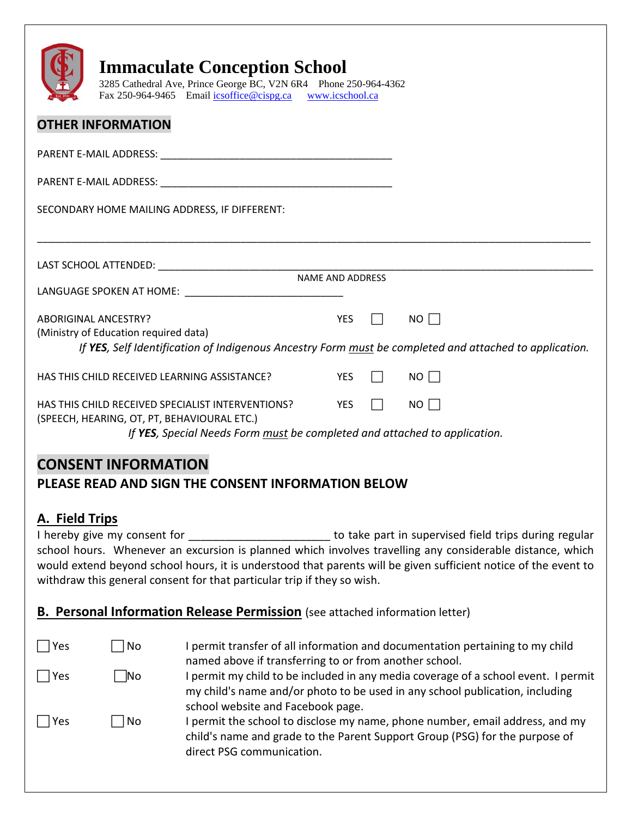|                                                                                                                                                 | <b>Immaculate Conception School</b><br>3285 Cathedral Ave, Prince George BC, V2N 6R4 Phone 250-964-4362<br>Fax 250-964-9465 Email icsoffice@cispg.ca www.icschool.ca |                         |  |                  |  |
|-------------------------------------------------------------------------------------------------------------------------------------------------|----------------------------------------------------------------------------------------------------------------------------------------------------------------------|-------------------------|--|------------------|--|
|                                                                                                                                                 | <b>OTHER INFORMATION</b>                                                                                                                                             |                         |  |                  |  |
|                                                                                                                                                 |                                                                                                                                                                      |                         |  |                  |  |
|                                                                                                                                                 |                                                                                                                                                                      |                         |  |                  |  |
|                                                                                                                                                 | SECONDARY HOME MAILING ADDRESS, IF DIFFERENT:                                                                                                                        |                         |  |                  |  |
|                                                                                                                                                 |                                                                                                                                                                      |                         |  |                  |  |
|                                                                                                                                                 |                                                                                                                                                                      | <b>NAME AND ADDRESS</b> |  |                  |  |
|                                                                                                                                                 | LANGUAGE SPOKEN AT HOME: NAMEL SERVICES                                                                                                                              |                         |  |                  |  |
|                                                                                                                                                 | <b>YES</b><br><b>ABORIGINAL ANCESTRY?</b><br>$\Box$ NO $\Box$                                                                                                        |                         |  |                  |  |
| (Ministry of Education required data)<br>If YES, Self Identification of Indigenous Ancestry Form must be completed and attached to application. |                                                                                                                                                                      |                         |  |                  |  |
|                                                                                                                                                 | HAS THIS CHILD RECEIVED LEARNING ASSISTANCE?                                                                                                                         | <b>YES</b>              |  | $\Box$ NO $\Box$ |  |
| YES<br>$NO \Box$<br>HAS THIS CHILD RECEIVED SPECIALIST INTERVENTIONS?<br>$\perp$                                                                |                                                                                                                                                                      |                         |  |                  |  |
| (SPEECH, HEARING, OT, PT, BEHAVIOURAL ETC.)<br>If YES, Special Needs Form must be completed and attached to application.                        |                                                                                                                                                                      |                         |  |                  |  |

## **CONSENT INFORMATION**

## **PLEASE READ AND SIGN THE CONSENT INFORMATION BELOW**

## **A. Field Trips**

A. Field ITIPS<br>I hereby give my consent for \_\_\_\_\_\_\_\_\_\_\_\_\_\_\_\_\_\_\_\_\_\_\_\_\_\_\_\_ to take part in supervised field trips during regular school hours. Whenever an excursion is planned which involves travelling any considerable distance, which would extend beyond school hours, it is understood that parents will be given sufficient notice of the event to withdraw this general consent for that particular trip if they so wish.

### **B. Personal Information Release Permission** (see attached information letter)

| Yes | No | I permit transfer of all information and documentation pertaining to my child<br>named above if transferring to or from another school.                                                                 |
|-----|----|---------------------------------------------------------------------------------------------------------------------------------------------------------------------------------------------------------|
| Yes | No | I permit my child to be included in any media coverage of a school event. I permit<br>my child's name and/or photo to be used in any school publication, including<br>school website and Facebook page. |
| Yes | No | I permit the school to disclose my name, phone number, email address, and my<br>child's name and grade to the Parent Support Group (PSG) for the purpose of<br>direct PSG communication.                |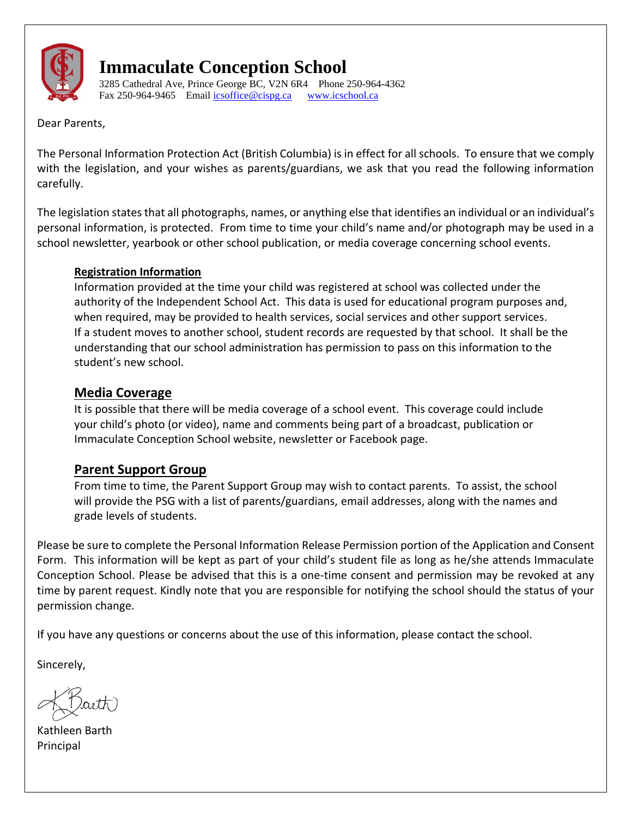

3285 Cathedral Ave, Prince George BC, V2N 6R4 Phone 250-964-4362 Fax 250-964-9465 Emai[l icsoffice@cispg.ca](mailto:icsoffice@cispg.ca) [www.icschool.ca](http://www.icschool.ca/)

Dear Parents,

The Personal Information Protection Act (British Columbia) is in effect for all schools. To ensure that we comply with the legislation, and your wishes as parents/guardians, we ask that you read the following information carefully.

The legislation states that all photographs, names, or anything else that identifies an individual or an individual's personal information, is protected. From time to time your child's name and/or photograph may be used in a school newsletter, yearbook or other school publication, or media coverage concerning school events.

#### **Registration Information**

Information provided at the time your child was registered at school was collected under the authority of the Independent School Act. This data is used for educational program purposes and, when required, may be provided to health services, social services and other support services. If a student moves to another school, student records are requested by that school. It shall be the understanding that our school administration has permission to pass on this information to the student's new school.

#### **Media Coverage**

It is possible that there will be media coverage of a school event. This coverage could include your child's photo (or video), name and comments being part of a broadcast, publication or Immaculate Conception School website, newsletter or Facebook page.

## **Parent Support Group**

From time to time, the Parent Support Group may wish to contact parents. To assist, the school will provide the PSG with a list of parents/guardians, email addresses, along with the names and grade levels of students.

Please be sure to complete the Personal Information Release Permission portion of the Application and Consent Form. This information will be kept as part of your child's student file as long as he/she attends Immaculate Conception School. Please be advised that this is a one-time consent and permission may be revoked at any time by parent request. Kindly note that you are responsible for notifying the school should the status of your permission change.

If you have any questions or concerns about the use of this information, please contact the school.

Sincerely,

Kathleen Barth Principal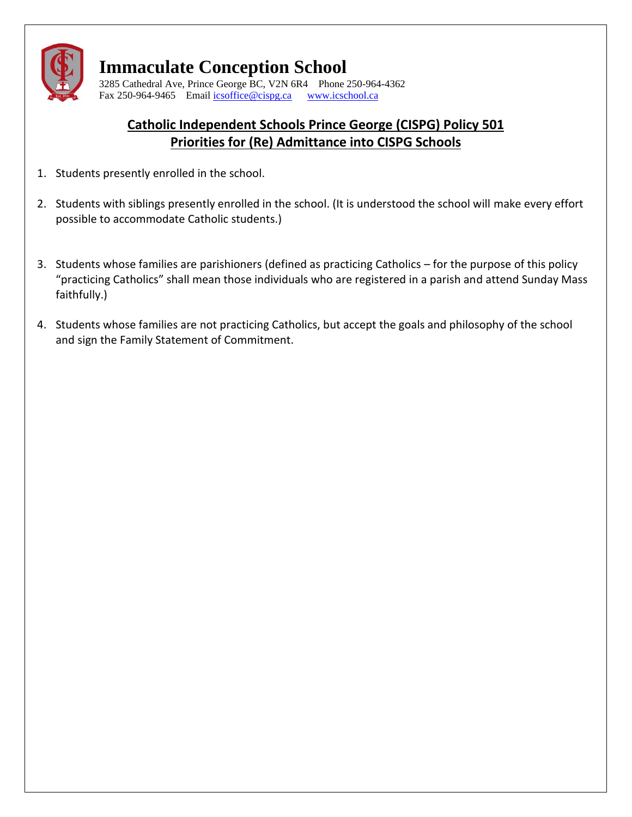

3285 Cathedral Ave, Prince George BC, V2N 6R4 Phone 250-964-4362 Fax 250-964-9465 Emai[l icsoffice@cispg.ca](mailto:icsoffice@cispg.ca) [www.icschool.ca](http://www.icschool.ca/)

## **Catholic Independent Schools Prince George (CISPG) Policy 501 Priorities for (Re) Admittance into CISPG Schools**

- 1. Students presently enrolled in the school.
- 2. Students with siblings presently enrolled in the school. (It is understood the school will make every effort possible to accommodate Catholic students.)
- 3. Students whose families are parishioners (defined as practicing Catholics for the purpose of this policy "practicing Catholics" shall mean those individuals who are registered in a parish and attend Sunday Mass faithfully.)
- 4. Students whose families are not practicing Catholics, but accept the goals and philosophy of the school and sign the Family Statement of Commitment.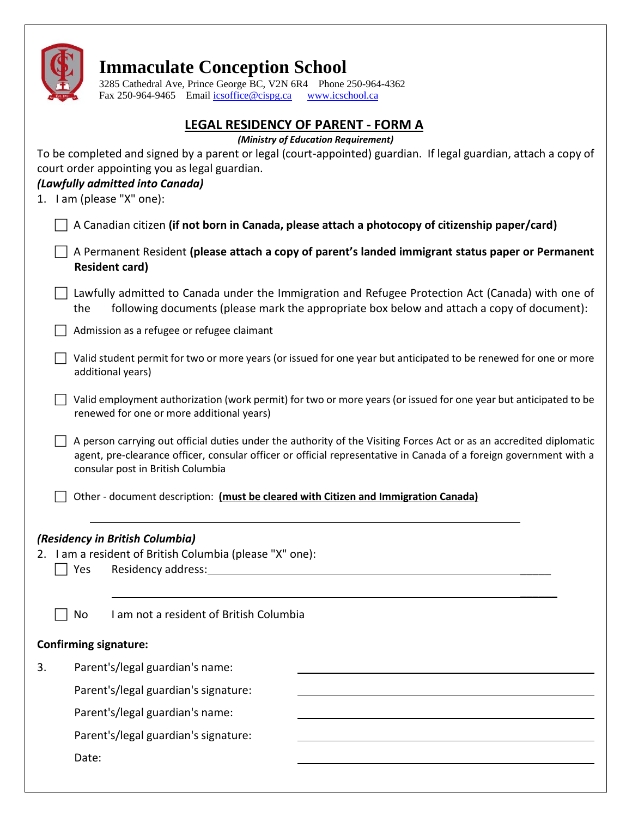|    |                                                                                                                                       | <b>Immaculate Conception School</b><br>3285 Cathedral Ave, Prince George BC, V2N 6R4 Phone 250-964-4362<br>Fax 250-964-9465 Email icsoffice@cispg.ca<br>www.icschool.ca                                                                                                                                                       |  |  |  |
|----|---------------------------------------------------------------------------------------------------------------------------------------|-------------------------------------------------------------------------------------------------------------------------------------------------------------------------------------------------------------------------------------------------------------------------------------------------------------------------------|--|--|--|
|    |                                                                                                                                       |                                                                                                                                                                                                                                                                                                                               |  |  |  |
|    |                                                                                                                                       | <b>LEGAL RESIDENCY OF PARENT - FORM A</b><br>(Ministry of Education Requirement)<br>To be completed and signed by a parent or legal (court-appointed) guardian. If legal guardian, attach a copy of<br>court order appointing you as legal guardian.<br>(Lawfully admitted into Canada)<br>1. I am (please "X" one):          |  |  |  |
|    |                                                                                                                                       | A Canadian citizen (if not born in Canada, please attach a photocopy of citizenship paper/card)                                                                                                                                                                                                                               |  |  |  |
|    |                                                                                                                                       | A Permanent Resident (please attach a copy of parent's landed immigrant status paper or Permanent<br><b>Resident card)</b>                                                                                                                                                                                                    |  |  |  |
|    | the                                                                                                                                   | Lawfully admitted to Canada under the Immigration and Refugee Protection Act (Canada) with one of<br>following documents (please mark the appropriate box below and attach a copy of document):                                                                                                                               |  |  |  |
|    | Admission as a refugee or refugee claimant                                                                                            |                                                                                                                                                                                                                                                                                                                               |  |  |  |
|    | Valid student permit for two or more years (or issued for one year but anticipated to be renewed for one or more<br>additional years) |                                                                                                                                                                                                                                                                                                                               |  |  |  |
|    |                                                                                                                                       | Valid employment authorization (work permit) for two or more years (or issued for one year but anticipated to be<br>renewed for one or more additional years)                                                                                                                                                                 |  |  |  |
|    |                                                                                                                                       | A person carrying out official duties under the authority of the Visiting Forces Act or as an accredited diplomatic<br>agent, pre-clearance officer, consular officer or official representative in Canada of a foreign government with a<br>consular post in British Columbia                                                |  |  |  |
|    |                                                                                                                                       | Other - document description: (must be cleared with Citizen and Immigration Canada)                                                                                                                                                                                                                                           |  |  |  |
|    | Yes                                                                                                                                   | (Residency in British Columbia)<br>2. I am a resident of British Columbia (please "X" one):<br>Residency address: Note and the set of the set of the set of the set of the set of the set of the set of the set of the set of the set of the set of the set of the set of the set of the set of the set of the set of the set |  |  |  |
|    | No                                                                                                                                    | I am not a resident of British Columbia                                                                                                                                                                                                                                                                                       |  |  |  |
|    |                                                                                                                                       | <b>Confirming signature:</b>                                                                                                                                                                                                                                                                                                  |  |  |  |
| 3. |                                                                                                                                       | Parent's/legal guardian's name:                                                                                                                                                                                                                                                                                               |  |  |  |
|    |                                                                                                                                       | Parent's/legal guardian's signature:                                                                                                                                                                                                                                                                                          |  |  |  |
|    |                                                                                                                                       | Parent's/legal guardian's name:                                                                                                                                                                                                                                                                                               |  |  |  |
|    |                                                                                                                                       | Parent's/legal guardian's signature:                                                                                                                                                                                                                                                                                          |  |  |  |
|    | Date:                                                                                                                                 |                                                                                                                                                                                                                                                                                                                               |  |  |  |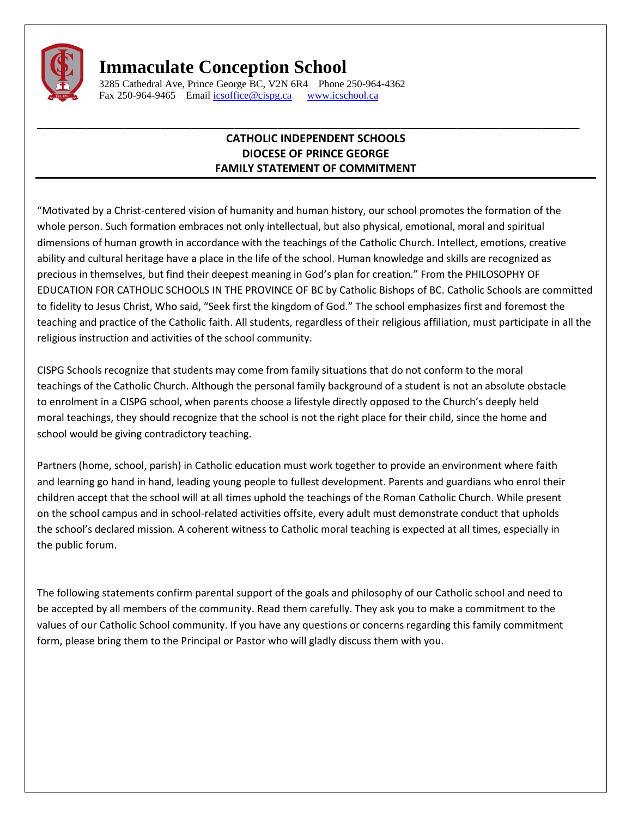

3285 Cathedral Ave, Prince George BC, V2N 6R4 Phone 250-964-4362 Fax 250-964-9465 Emai[l icsoffice@cispg.ca](mailto:icsoffice@cispg.ca) [www.icschool.ca](http://www.icschool.ca/)

#### **CATHOLIC INDEPENDENT SCHOOLS DIOCESE OF PRINCE GEORGE FAMILY STATEMENT OF COMMITMENT**

**\_\_\_\_\_\_\_\_\_\_\_\_\_\_\_\_\_\_\_\_\_\_\_\_\_\_\_\_\_\_\_\_\_\_\_\_\_\_\_\_\_\_\_\_\_\_\_\_\_\_\_\_\_\_\_\_\_\_\_\_\_\_\_\_\_\_\_\_\_\_\_\_\_\_\_\_\_\_\_\_\_\_\_\_\_\_\_\_**

"Motivated by a Christ-centered vision of humanity and human history, our school promotes the formation of the whole person. Such formation embraces not only intellectual, but also physical, emotional, moral and spiritual dimensions of human growth in accordance with the teachings of the Catholic Church. Intellect, emotions, creative ability and cultural heritage have a place in the life of the school. Human knowledge and skills are recognized as precious in themselves, but find their deepest meaning in God's plan for creation." From the PHILOSOPHY OF EDUCATION FOR CATHOLIC SCHOOLS IN THE PROVINCE OF BC by Catholic Bishops of BC. Catholic Schools are committed to fidelity to Jesus Christ, Who said, "Seek first the kingdom of God." The school emphasizes first and foremost the teaching and practice of the Catholic faith. All students, regardless of their religious affiliation, must participate in all the religious instruction and activities of the school community.

CISPG Schools recognize that students may come from family situations that do not conform to the moral teachings of the Catholic Church. Although the personal family background of a student is not an absolute obstacle to enrolment in a CISPG school, when parents choose a lifestyle directly opposed to the Church's deeply held moral teachings, they should recognize that the school is not the right place for their child, since the home and school would be giving contradictory teaching.

Partners (home, school, parish) in Catholic education must work together to provide an environment where faith and learning go hand in hand, leading young people to fullest development. Parents and guardians who enrol their children accept that the school will at all times uphold the teachings of the Roman Catholic Church. While present on the school campus and in school-related activities offsite, every adult must demonstrate conduct that upholds the school's declared mission. A coherent witness to Catholic moral teaching is expected at all times, especially in the public forum.

The following statements confirm parental support of the goals and philosophy of our Catholic school and need to be accepted by all members of the community. Read them carefully. They ask you to make a commitment to the values of our Catholic School community. If you have any questions or concerns regarding this family commitment form, please bring them to the Principal or Pastor who will gladly discuss them with you.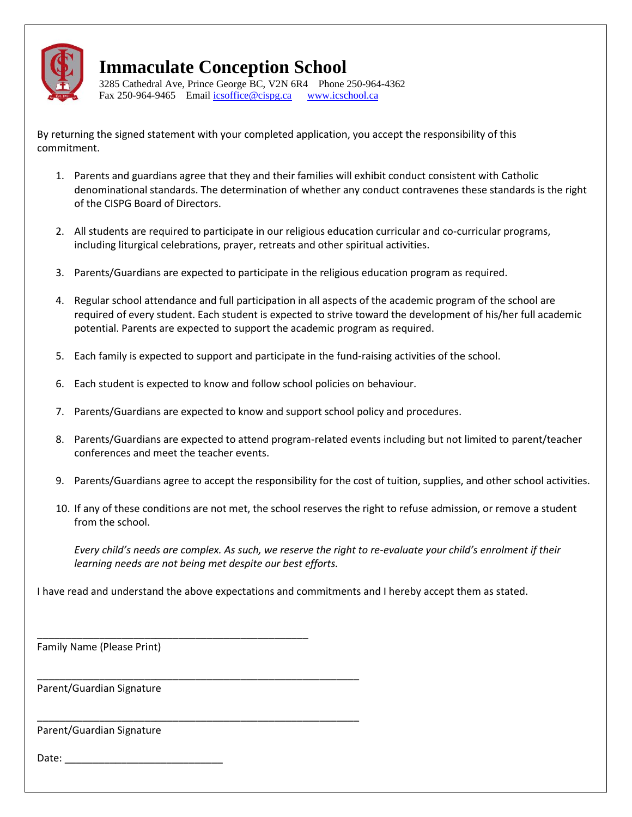

3285 Cathedral Ave, Prince George BC, V2N 6R4 Phone 250-964-4362 Fax 250-964-9465 Emai[l icsoffice@cispg.ca](mailto:icsoffice@cispg.ca) [www.icschool.ca](http://www.icschool.ca/)

By returning the signed statement with your completed application, you accept the responsibility of this commitment.

- 1. Parents and guardians agree that they and their families will exhibit conduct consistent with Catholic denominational standards. The determination of whether any conduct contravenes these standards is the right of the CISPG Board of Directors.
- 2. All students are required to participate in our religious education curricular and co-curricular programs, including liturgical celebrations, prayer, retreats and other spiritual activities.
- 3. Parents/Guardians are expected to participate in the religious education program as required.
- 4. Regular school attendance and full participation in all aspects of the academic program of the school are required of every student. Each student is expected to strive toward the development of his/her full academic potential. Parents are expected to support the academic program as required.
- 5. Each family is expected to support and participate in the fund-raising activities of the school.
- 6. Each student is expected to know and follow school policies on behaviour.
- 7. Parents/Guardians are expected to know and support school policy and procedures.
- 8. Parents/Guardians are expected to attend program-related events including but not limited to parent/teacher conferences and meet the teacher events.
- 9. Parents/Guardians agree to accept the responsibility for the cost of tuition, supplies, and other school activities.
- 10. If any of these conditions are not met, the school reserves the right to refuse admission, or remove a student from the school.

*Every child's needs are complex. As such, we reserve the right to re-evaluate your child's enrolment if their learning needs are not being met despite our best efforts.* 

I have read and understand the above expectations and commitments and I hereby accept them as stated.

Family Name (Please Print)

\_\_\_\_\_\_\_\_\_\_\_\_\_\_\_\_\_\_\_\_\_\_\_\_\_\_\_\_\_\_\_\_\_\_\_\_\_\_\_\_\_\_\_\_\_\_\_\_

\_\_\_\_\_\_\_\_\_\_\_\_\_\_\_\_\_\_\_\_\_\_\_\_\_\_\_\_\_\_\_\_\_\_\_\_\_\_\_\_\_\_\_\_\_\_\_\_\_\_\_\_\_\_\_\_\_

\_\_\_\_\_\_\_\_\_\_\_\_\_\_\_\_\_\_\_\_\_\_\_\_\_\_\_\_\_\_\_\_\_\_\_\_\_\_\_\_\_\_\_\_\_\_\_\_\_\_\_\_\_\_\_\_\_

Parent/Guardian Signature

Parent/Guardian Signature

Date: